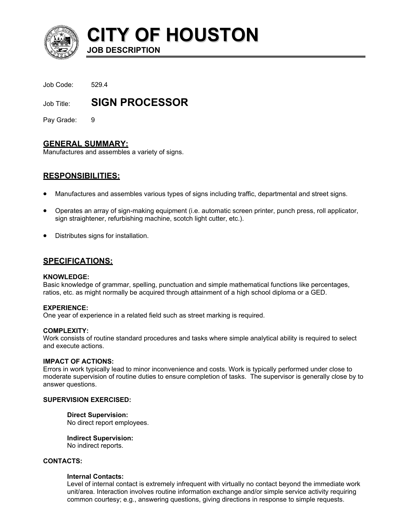

**CITY OF HOUSTON**

Job Code: 529.4

Job Title: **SIGN PROCESSOR** 

**JOB DESCRIPTION** 

Pay Grade: 9

# **GENERAL SUMMARY:**

Manufactures and assembles a variety of signs.

# **RESPONSIBILITIES:**

- Manufactures and assembles various types of signs including traffic, departmental and street signs.
- Operates an array of sign-making equipment (i.e. automatic screen printer, punch press, roll applicator, sign straightener, refurbishing machine, scotch light cutter, etc.).
- Distributes signs for installation.

# **SPECIFICATIONS:**

#### **KNOWLEDGE:**

Basic knowledge of grammar, spelling, punctuation and simple mathematical functions like percentages, ratios, etc. as might normally be acquired through attainment of a high school diploma or a GED.

#### **EXPERIENCE:**

One year of experience in a related field such as street marking is required.

#### **COMPLEXITY:**

Work consists of routine standard procedures and tasks where simple analytical ability is required to select and execute actions.

#### **IMPACT OF ACTIONS:**

Errors in work typically lead to minor inconvenience and costs. Work is typically performed under close to moderate supervision of routine duties to ensure completion of tasks. The supervisor is generally close by to answer questions.

#### **SUPERVISION EXERCISED:**

#### **Direct Supervision:**

No direct report employees.

**Indirect Supervision:** No indirect reports.

## **CONTACTS:**

#### **Internal Contacts:**

Level of internal contact is extremely infrequent with virtually no contact beyond the immediate work unit/area. Interaction involves routine information exchange and/or simple service activity requiring common courtesy; e.g., answering questions, giving directions in response to simple requests.